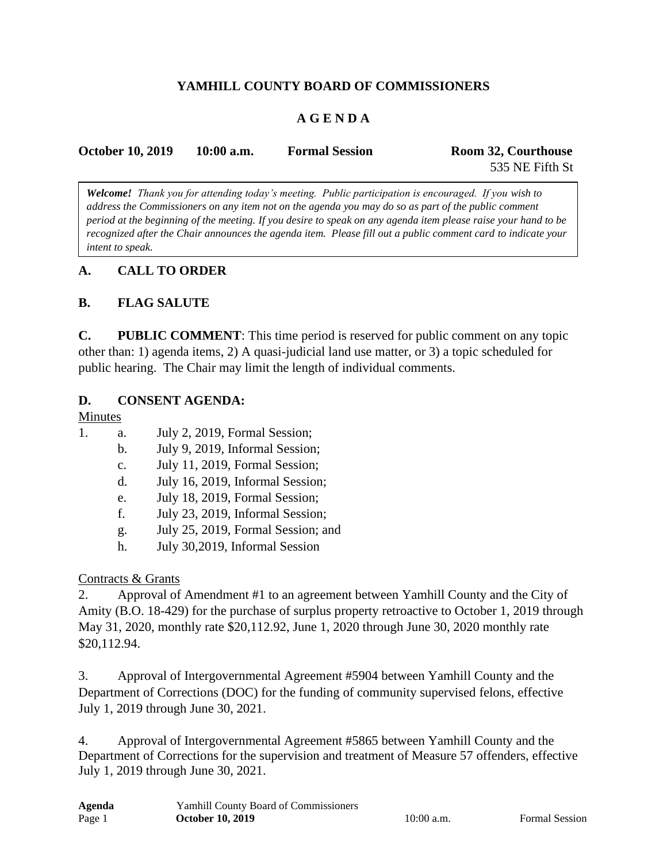## **YAMHILL COUNTY BOARD OF COMMISSIONERS**

## **A G E N D A**

| <b>October 10, 2019</b> | $10:00$ a.m. | <b>Formal Session</b> | Room 32, Courthouse |
|-------------------------|--------------|-----------------------|---------------------|
|                         |              |                       | 535 NE Fifth St     |

*Welcome! Thank you for attending today's meeting. Public participation is encouraged. If you wish to address the Commissioners on any item not on the agenda you may do so as part of the public comment period at the beginning of the meeting. If you desire to speak on any agenda item please raise your hand to be recognized after the Chair announces the agenda item. Please fill out a public comment card to indicate your intent to speak.*

#### **A. CALL TO ORDER**

#### **B. FLAG SALUTE**

**C. PUBLIC COMMENT**: This time period is reserved for public comment on any topic other than: 1) agenda items, 2) A quasi-judicial land use matter, or 3) a topic scheduled for public hearing. The Chair may limit the length of individual comments.

#### **D. CONSENT AGENDA:**

#### Minutes

- 1. a. July 2, 2019, Formal Session;
	- b. July 9, 2019, Informal Session;
	- c. July 11, 2019, Formal Session;
	- d. July 16, 2019, Informal Session;
	- e. July 18, 2019, Formal Session;
	- f. July 23, 2019, Informal Session;
	- g. July 25, 2019, Formal Session; and
	- h. July 30,2019, Informal Session

#### Contracts & Grants

2. Approval of Amendment #1 to an agreement between Yamhill County and the City of Amity (B.O. 18-429) for the purchase of surplus property retroactive to October 1, 2019 through May 31, 2020, monthly rate \$20,112.92, June 1, 2020 through June 30, 2020 monthly rate \$20,112.94.

3. Approval of Intergovernmental Agreement #5904 between Yamhill County and the Department of Corrections (DOC) for the funding of community supervised felons, effective July 1, 2019 through June 30, 2021.

4. Approval of Intergovernmental Agreement #5865 between Yamhill County and the Department of Corrections for the supervision and treatment of Measure 57 offenders, effective July 1, 2019 through June 30, 2021.

| Agenda | Yamhill County Board of Commissioners |
|--------|---------------------------------------|
| Page 1 | <b>October 10, 2019</b>               |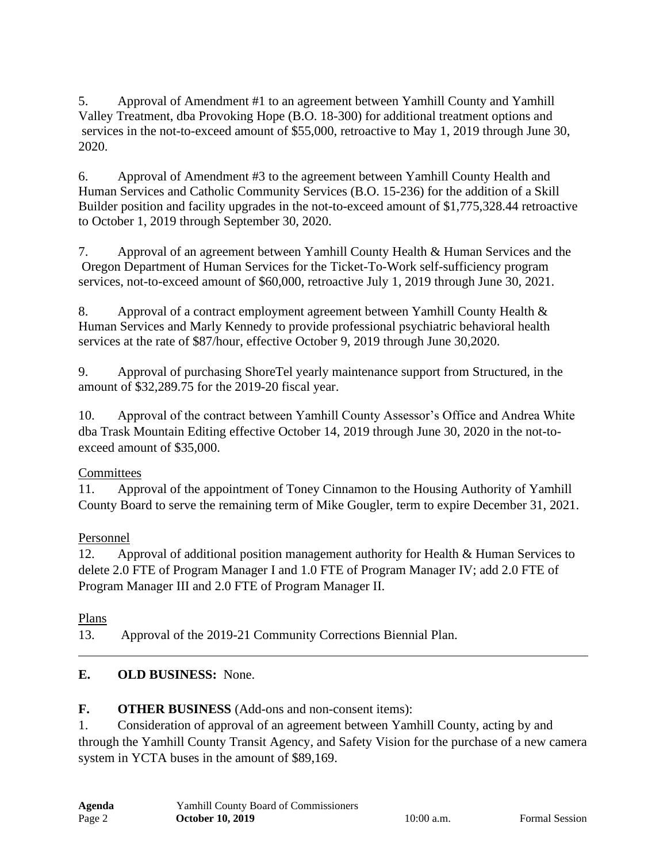5. Approval of Amendment #1 to an agreement between Yamhill County and Yamhill Valley Treatment, dba Provoking Hope (B.O. 18-300) for additional treatment options and services in the not-to-exceed amount of \$55,000, retroactive to May 1, 2019 through June 30, 2020.

6. Approval of Amendment #3 to the agreement between Yamhill County Health and Human Services and Catholic Community Services (B.O. 15-236) for the addition of a Skill Builder position and facility upgrades in the not-to-exceed amount of \$1,775,328.44 retroactive to October 1, 2019 through September 30, 2020.

7. Approval of an agreement between Yamhill County Health & Human Services and the Oregon Department of Human Services for the Ticket-To-Work self-sufficiency program services, not-to-exceed amount of \$60,000, retroactive July 1, 2019 through June 30, 2021.

8. Approval of a contract employment agreement between Yamhill County Health & Human Services and Marly Kennedy to provide professional psychiatric behavioral health services at the rate of \$87/hour, effective October 9, 2019 through June 30,2020.

9. Approval of purchasing ShoreTel yearly maintenance support from Structured, in the amount of \$32,289.75 for the 2019-20 fiscal year.

10. Approval of the contract between Yamhill County Assessor's Office and Andrea White dba Trask Mountain Editing effective October 14, 2019 through June 30, 2020 in the not-toexceed amount of \$35,000.

# **Committees**

11. Approval of the appointment of Toney Cinnamon to the Housing Authority of Yamhill County Board to serve the remaining term of Mike Gougler, term to expire December 31, 2021.

# Personnel

12. Approval of additional position management authority for Health & Human Services to delete 2.0 FTE of Program Manager I and 1.0 FTE of Program Manager IV; add 2.0 FTE of Program Manager III and 2.0 FTE of Program Manager II.

Plans

13. Approval of the 2019-21 Community Corrections Biennial Plan.

# **E. OLD BUSINESS:** None.

# **F. OTHER BUSINESS** (Add-ons and non-consent items):

1. Consideration of approval of an agreement between Yamhill County, acting by and through the Yamhill County Transit Agency, and Safety Vision for the purchase of a new camera system in YCTA buses in the amount of \$89,169.